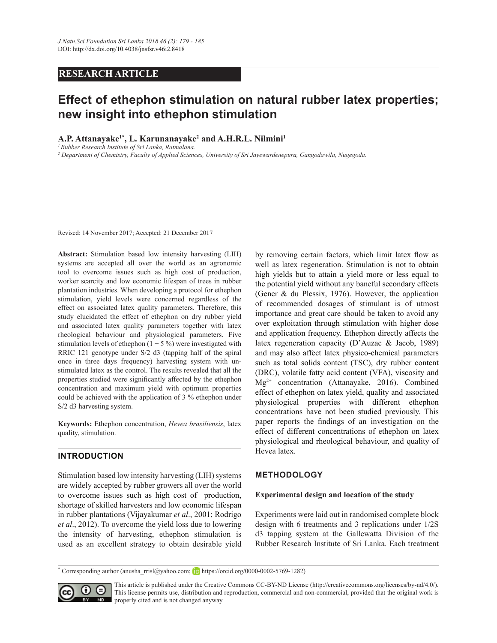# **RESEARCH ARTICLE**

# **Effect of ethephon stimulation on natural rubber latex properties; new insight into ethephon stimulation**

## $\mathbf{A}.\mathbf{P}.\mathbf{Attanayake^{1*}}, \mathbf{L}.\mathbf{Karunanayake^{2}}$  and  $\mathbf{A}.\mathbf{H}.\mathbf{R}.\mathbf{L}.\mathbf{Nilmini^{1}}$

*<sup>1</sup>Rubber Research Institute of Sri Lanka, Ratmalana.*

*2 Department of Chemistry, Faculty of Applied Sciences, University of Sri Jayewardenepura, Gangodawila, Nugegoda.*

Revised: 14 November 2017; Accepted: 21 December 2017

Abstract: Stimulation based low intensity harvesting (LIH) systems are accepted all over the world as an agronomic tool to overcome issues such as high cost of production, worker scarcity and low economic lifespan of trees in rubber plantation industries. When developing a protocol for ethephon stimulation, yield levels were concerned regardless of the effect on associated latex quality parameters. Therefore, this study elucidated the effect of ethephon on dry rubber yield and associated latex quality parameters together with latex rheological behaviour and physiological parameters. Five stimulation levels of ethephon  $(1 - 5\%)$  were investigated with RRIC 121 genotype under S/2 d3 (tapping half of the spiral once in three days frequency) harvesting system with unstimulated latex as the control. The results revealed that all the properties studied were significantly affected by the ethephon concentration and maximum yield with optimum properties could be achieved with the application of 3  $%$  ethephon under S/2 d3 harvesting system.

**Keywords:** Ethephon concentration, *Hevea brasiliensis*, latex quality, stimulation.

## **INTRODUCTION**

Stimulation based low intensity harvesting (LIH) systems are widely accepted by rubber growers all over the world to overcome issues such as high cost of production, shortage of skilled harvesters and low economic lifespan in rubber plantations (Vijayakumar *et al*., 2001; Rodrigo *et al.*, 2012). To overcome the yield loss due to lowering the intensity of harvesting, ethephon stimulation is used as an excellent strategy to obtain desirable yield

by removing certain factors, which limit latex flow as well as latex regeneration. Stimulation is not to obtain high yields but to attain a yield more or less equal to the potential yield without any baneful secondary effects (Gener & du Plessix, 1976). However, the application of recommended dosages of stimulant is of utmost importance and great care should be taken to avoid any over exploitation through stimulation with higher dose and application frequency. Ethephon directly affects the latex regeneration capacity (D'Auzac & Jacob, 1989) and may also affect latex physico-chemical parameters such as total solids content (TSC), dry rubber content (DRC), volatile fatty acid content (VFA), viscosity and  $Mg^{2+}$  concentration (Attanayake, 2016). Combined effect of ethephon on latex yield, quality and associated physiological properties with different ethephon concentrations have not been studied previously. This paper reports the findings of an investigation on the effect of different concentrations of ethephon on latex physiological and rheological behaviour, and quality of Hevea latex.

## **METHODOLOGY**

### **Experimental design and location of the study**

Experiments were laid out in randomised complete block design with 6 treatments and 3 replications under  $1/2S$ d3 tapping system at the Gallewatta Division of the Rubber Research Institute of Sri Lanka. Each treatment

**\*** Corresponding author (anusha\_rrisl@yahoo.com; Dhttps://orcid.org/0000-0002-5769-1282)



This article is published under the Creative Commons CC-BY-ND License (http://creativecommons.org/licenses/by-nd/4.0/). This license permits use, distribution and reproduction, commercial and non-commercial, provided that the original work is  $\mathbb{R}$  properly cited and is not changed anyway.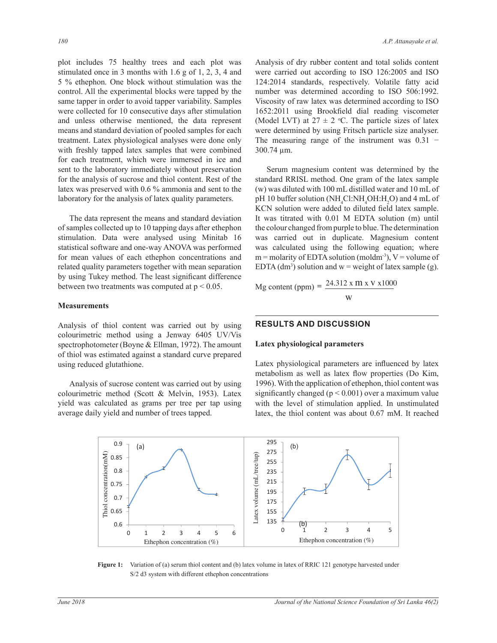plot includes 75 healthy trees and each plot was stimulated once in 3 months with 1.6 g of 1, 2, 3, 4 and 5 % ethephon. One block without stimulation was the control. All the experimental blocks were tapped by the same tapper in order to avoid tapper variability. Samples were collected for 10 consecutive days after stimulation and unless otherwise mentioned, the data represent means and standard deviation of pooled samples for each treatment. Latex physiological analyses were done only with freshly tapped latex samples that were combined for each treatment, which were immersed in ice and sent to the laboratory immediately without preservation for the analysis of sucrose and thiol content. Rest of the latex was preserved with  $0.6\%$  ammonia and sent to the laboratory for the analysis of latex quality parameters.

 The data represent the means and standard deviation of samples collected up to 10 tapping days after ethephon stimulation. Data were analysed using Minitab 16 statistical software and one-way ANOVA was performed for mean values of each ethephon concentrations and related quality parameters together with mean separation by using Tukey method. The least significant difference between two treatments was computed at  $p < 0.05$ .

#### **Measurements**

Analysis of thiol content was carried out by using colourimetric method using a Jenway 6405 UV/Vis spectrophotometer (Boyne  $&$  Ellman, 1972). The amount of thiol was estimated against a standard curve prepared using reduced glutathione.

Analysis of sucrose content was carried out by using colourimetric method (Scott & Melvin, 1953). Latex yield was calculated as grams per tree per tap using average daily yield and number of trees tapped.

Analysis of dry rubber content and total solids content were carried out according to ISO  $126:2005$  and ISO 124:2014 standards, respectively. Volatile fatty acid number was determined according to ISO 506:1992. Viscosity of raw latex was determined according to ISO 1652:2011 using Brookfield dial reading viscometer (Model LVT) at  $27 \pm 2$  °C. The particle sizes of latex were determined by using Fritsch particle size analyser. The measuring range of the instrument was  $0.31$  –  $300.74 \mu m$ .

Serum magnesium content was determined by the standard RRISL method. One gram of the latex sample  $(w)$  was diluted with 100 mL distilled water and 10 mL of  $pH10$  buffer solution (NH<sub>a</sub>Cl:NH<sub>a</sub>OH:H<sub>a</sub>O) and 4 mL of KCN solution were added to diluted field latex sample. It was titrated with 0.01 M EDTA solution (m) until the colour changed from purple to blue. The determination was carried out in duplicate. Magnesium content was calculated using the following equation; where  $m =$  molarity of EDTA solution (moldm<sup>-3</sup>),  $V =$  volume of EDTA (dm<sup>3</sup>) solution and  $w$  = weight of latex sample (g).

0JFRQWHQWSSP Mg Content (ppm) = 24.312 x m x v x1000 w

### **RESULTS AND DISCUSSION**

## /^KϭϲϱϮ͗ϮϬϭϭ͖ZƵďďĞƌůĂƚĞdžͲͲĞƚĞƌŵŝŶĂƚŝŽŶŽĨĂƉƉĂƌĞŶƚǀŝƐĐŽƐŝƚLJďLJƚŚĞƌŽŽŬĨŝĞůĚƚĞƐƚ **Latex physiological parameters**

Latex physiological parameters are influenced by latex metabolism as well as latex flow properties (Do Kim, 1996). With the application of ethephon, thiol content was significantly changed ( $p < 0.001$ ) over a maximum value with the level of stimulation applied. In unstimulated latex, the thiol content was about 0.67 mM. It reached



Figure 1: Variation of (a) serum thiol content and (b) latex volume in latex of RRIC 121 genotype harvested under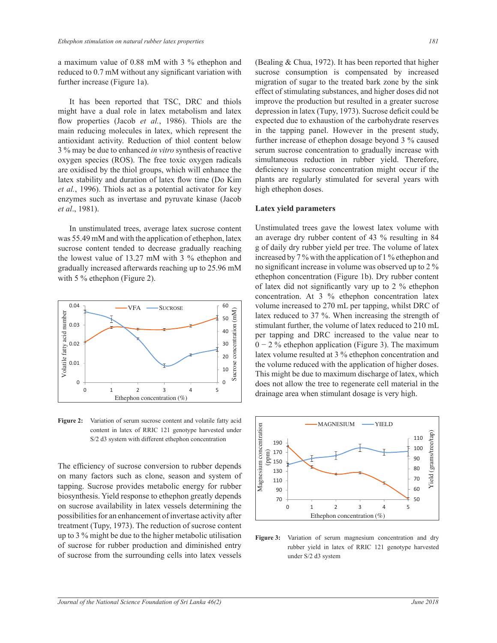a maximum value of  $0.88$  mM with  $3\%$  ethephon and reduced to 0.7 mM without any significant variation with further increase (Figure 1a).

It has been reported that TSC, DRC and thiols might have a dual role in latex metabolism and latex flow properties (Jacob et al., 1986). Thiols are the main reducing molecules in latex, which represent the antioxidant activity. Reduction of thiol content below 3 % may be due to enhanced *in vitro* synthesis of reactive oxygen species (ROS). The free toxic oxygen radicals are oxidised by the thiol groups, which will enhance the latex stability and duration of latex flow time (Do Kim et al., 1996). Thiols act as a potential activator for key enzymes such as invertase and pyruvate kinase (Jacob *et al.*, 1981). species (ROS). The free toxic oxygen radio

In unstimulated trees, average latex sucrose content was 55.49 mM and with the application of ethephon, latex sucrose content tended to decrease gradually reaching the lowest value of 13.27 mM with 3 % ethephon and gradually increased afterwards reaching up to 25.96 mM with 5  $\%$  ethephon (Figure 2). unsumulated trees, average to



S/2 d3 system with different ethephon concentration **Figure 2:** Variation of serum sucrose content and volatile fatty acid content in latex of RRIC 121 genotype harvested under

The efficiency of sucrose conversion to rubber depends on many factors such as clone, season and system of tapping. Sucrose provides metabolic energy for rubber biosynthesis. Yield response to ethephon greatly depends on sucrose availability in latex vessels determining the possibilities for an enhancement of invertase activity after treatment (Tupy, 1973). The reduction of sucrose content up to 3 % might be due to the higher metabolic utilisation of sucrose for rubber production and diminished entry of sucrose from the surrounding cells into latex vessels

(Bealing  $& Chua$ , 1972). It has been reported that higher sucrose consumption is compensated by increased migration of sugar to the treated bark zone by the sink effect of stimulating substances, and higher doses did not improve the production but resulted in a greater sucrose depression in latex (Tupy, 1973). Sucrose deficit could be expected due to exhaustion of the carbohydrate reserves in the tapping panel. However in the present study, further increase of ethephon dosage beyond 3 % caused serum sucrose concentration to gradually increase with simultaneous reduction in rubber yield. Therefore, deficiency in sucrose concentration might occur if the plants are regularly stimulated for several years with high ethephon doses.

#### **Latex yield parameters**

content Unstimulated trees gave the lowest latex volume with an average dry rubber content of 43 % resulting in 84 g of daily dry rubber yield per tree. The volume of latex increased by  $7\%$  with the application of 1 % ethephon and no significant increase in volume was observed up to 2 % ethephon concentration (Figure 1b). Dry rubber content of latex did not significantly vary up to 2 % ethephon concentration. At 3 % ethephon concentration latex volume increased to 270 mL per tapping, whilst DRC of latex reduced to 37 %. When increasing the strength of stimulant further, the volume of latex reduced to 210 mL per tapping and DRC increased to the value near to  $0 - 2$  % ethephon application (Figure 3). The maximum latex volume resulted at 3 % ethephon concentration and the volume reduced with the application of higher doses. This might be due to maximum discharge of latex, which does not allow the tree to regenerate cell material in the drainage area when stimulant dosage is very high.



Figure 3: Variation of serum magnesium concentration and dry rubber yield in latex of RRIC 121 genotype harvested under S/2 d3 system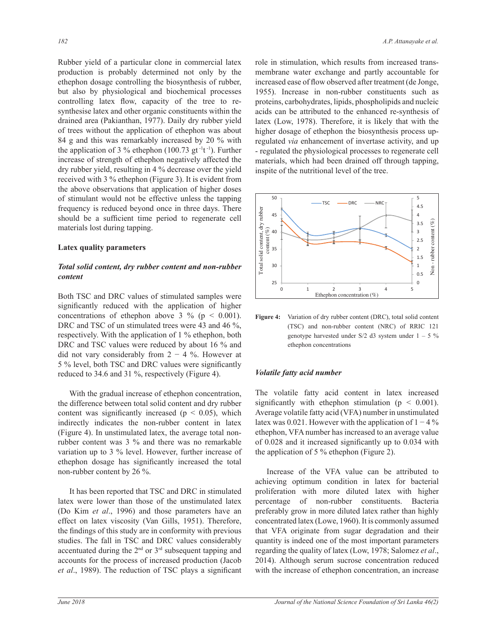Rubber yield of a particular clone in commercial latex production is probably determined not only by the ethephon dosage controlling the biosynthesis of rubber, but also by physiological and biochemical processes controlling latex flow, capacity of the tree to resynthesise latex and other organic constituents within the drained area (Pakianthan, 1977). Daily dry rubber yield of trees without the application of ethephon was about 84 g and this was remarkably increased by 20  $\%$  with the application of 3 % ethephon  $(100.73 \text{ gt}^{-1}t^{-1})$ . Further increase of strength of ethephon negatively affected the dry rubber yield, resulting in 4 % decrease over the yield received with 3 % ethephon (Figure 3). It is evident from the above observations that application of higher doses of stimulant would not be effective unless the tapping frequency is reduced beyond once in three days. There should be a sufficient time period to regenerate cell materials lost during tapping.

### **Latex quality parameters**

## *Total solid content, dry rubber content and non-rubber content*

Both TSC and DRC values of stimulated samples were significantly reduced with the application of higher concentrations of ethephon above 3 % ( $p < 0.001$ ). DRC and TSC of un stimulated trees were 43 and 46 %, respectively. With the application of 1 % ethephon, both DRC and TSC values were reduced by about 16 % and did not vary considerably from  $2 - 4$  %. However at 5 % level, both TSC and DRC values were significantly reduced to 34.6 and 31 %, respectively (Figure 4).

 With the gradual increase of ethephon concentration, the difference between total solid content and dry rubber content was significantly increased ( $p \leq 0.05$ ), which indirectly indicates the non-rubber content in latex (Figure 4). In unstimulated latex, the average total nonrubber content was 3 % and there was no remarkable variation up to 3  $\%$  level. However, further increase of ethephon dosage has significantly increased the total non-rubber content by 26 %.

It has been reported that TSC and DRC in stimulated latex were lower than those of the unstimulated latex (Do Kim *et al*., 1996) and those parameters have an effect on latex viscosity (Van Gills, 1951). Therefore, the findings of this study are in conformity with previous studies. The fall in TSC and DRC values considerably accentuated during the  $2<sup>nd</sup>$  or  $3<sup>rd</sup>$  subsequent tapping and accounts for the process of increased production (Jacob et al., 1989). The reduction of TSC plays a significant

role in stimulation, which results from increased transmembrane water exchange and partly accountable for increased ease of flow observed after treatment (de Jonge, 1955). Increase in non-rubber constituents such as proteins, carbohydrates, lipids, phospholipids and nucleic acids can be attributed to the enhanced re-synthesis of latex (Low, 1978). Therefore, it is likely that with the higher dosage of ethephon the biosynthesis process upregulated *via* enhancement of invertase activity, and up - regulated the physiological processes to regenerate cell materials, which had been drained off through tapping, inspite of the nutritional level of the tree. dosage of ethephon the biosynt



(TSC) and non-rubber content (NRC) of RRIC 121 Figure 4: Variation of dry rubber content (DRC), total solid content genotype harvested under  $S/2$  d3 system under  $1 - 5\%$ ethephon concentrations

### *Volatile fatty acid number*

The volatile fatty acid content in latex increased significantly with ethephon stimulation ( $p \leq 0.001$ ). Average volatile fatty acid (VFA) number in unstimulated latex was 0.021. However with the application of  $1-4\%$ ethephon, VFA number has increased to an average value of  $0.028$  and it increased significantly up to  $0.034$  with the application of 5  $\%$  ethephon (Figure 2).

 Increase of the VFA value can be attributed to achieving optimum condition in latex for bacterial proliferation with more diluted latex with higher percentage of non-rubber constituents. Bacteria preferably grow in more diluted latex rather than highly concentrated latex (Lowe, 1960). It is commonly assumed that VFA originate from sugar degradation and their quantity is indeed one of the most important parameters regarding the quality of latex (Low, 1978; Salomez et al., 2014). Although serum sucrose concentration reduced with the increase of ethephon concentration, an increase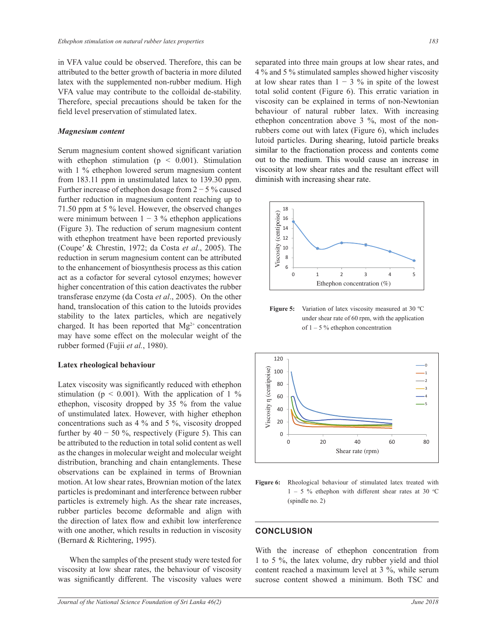in VFA value could be observed. Therefore, this can be attributed to the better growth of bacteria in more diluted latex with the supplemented non-rubber medium. High VFA value may contribute to the colloidal de-stability. Therefore, special precautions should be taken for the field level preservation of stimulated latex.

#### *Magnesium content*

Serum magnesium content showed significant variation with ethephon stimulation ( $p \leq 0.001$ ). Stimulation with 1 % ethephon lowered serum magnesium content from 183.11 ppm in unstimulated latex to 139.30 ppm. Further increase of ethephon dosage from  $2 - 5$ % caused further reduction in magnesium content reaching up to 71.50 ppm at 5 % level. However, the observed changes were minimum between  $1 - 3$  % ethephon applications (Figure 3). The reduction of serum magnesium content L *L S*<sub>*M*</sub> *C L*<sub>*M*</sub> *C*<sub>*M*</sub> *C*<sub>*M*</sub> *C*<sub>*M*</sub> *C*<sub>*M*</sub> *C*<sub>*M*</sub> *C*<sub>*M*</sub> *C*<sub>*M*</sub> *C*<sub>*M*</sub> *C*<sub>*M*</sub> *C*<sub>*M*</sub> *C*<sub>*M*</sub> *C*<sub>*M*</sub> *C*<sub>*M*</sub> *C*<sub>*M*</sub> *C*<sub>*M*</sub> *C*<sub>*M*</sub> *C*<sub>*M*</sub> *C*<sub>*M*</sub> *C*<sub>*M*</sub> *C*<sub>*M*</sub> *C*<sub>*M*</sub> *C*<sub></sub> (Coupe' & Chrestin, 1972; da Costa *et al.*, 2005). The reduction in serum magnesium content can be attributed to the enhancement of biosynthesis process as this cation act as a cofactor for several cytosol enzymes; however higher concentration of this cation deactivates the rubber transferase enzyme (da Costa et al., 2005). On the other hand, translocation of this cation to the lutoids provides stability to the latex particles, which are negatively charged. It has been reported that  $Mg^{2+}$  concentration may have some effect on the molecular weight of the rubber formed (Fujii *et al.*, 1980).

#### **Latex rheological behaviour**

Latex viscosity was significantly reduced with ethephon stimulation ( $p \le 0.001$ ). With the application of 1 % ethephon, viscosity dropped by 35 % from the value of unstimulated latex. However, with higher ethephon concentrations such as 4 % and 5 %, viscosity dropped further by  $40 - 50$  %, respectively (Figure 5). This can be attributed to the reduction in total solid content as well as the changes in molecular weight and molecular weight distribution, branching and chain entanglements. These observations can be explained in terms of Brownian motion. At low shear rates, Brownian motion of the latex particles is predominant and interference between rubber particles is extremely high. As the shear rate increases, rubber particles become deformable and align with the direction of latex flow and exhibit low interference with one another, which results in reduction in viscosity (Bernard & Richtering, 1995).

When the samples of the present study were tested for viscosity at low shear rates, the behaviour of viscosity was significantly different. The viscosity values were separated into three main groups at low shear rates, and 4 % and 5 % stimulated samples showed higher viscosity at low shear rates than  $1 - 3$  % in spite of the lowest total solid content (Figure 6). This erratic variation in viscosity can be explained in terms of non-Newtonian behaviour of natural rubber latex. With increasing ethephon concentration above 3 %, most of the nonrubbers come out with latex (Figure 6), which includes lutoid particles. During shearing, lutoid particle breaks similar to the fractionation process and contents come out to the medium. This would cause an increase in viscosity at low shear rates and the resultant effect will diminish with increasing shear rate.



under shear rate of 60 rpm, with the application **Figure 5:** Variation of latex viscosity measured at 30 °C of  $1 - 5$ % ethephon concentration





## **CONCLUSION**

1 to 5 %, the latex volume, dry rubber yield and thiol With the increase of ethephon concentration from content reached a maximum level at  $3\%$ , while serum sucrose content showed a minimum. Both TSC and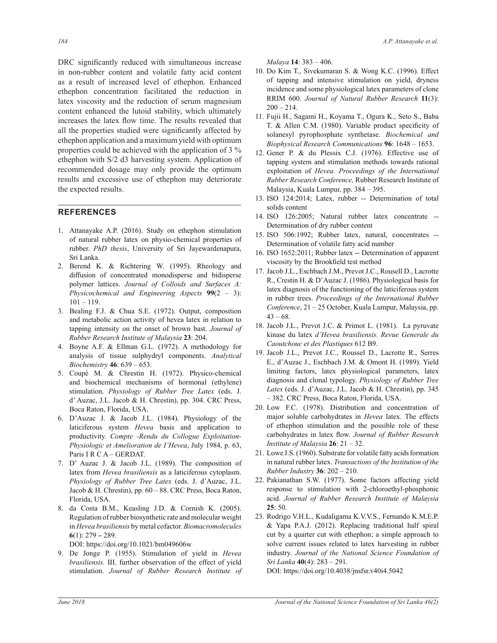DRC significantly reduced with simultaneous increase in non-rubber content and volatile fatty acid content as a result of increased level of ethephon. Enhanced ethephon concentration facilitated the reduction in latex viscosity and the reduction of serum magnesium content enhanced the lutoid stability, which ultimately increases the latex flow time. The results revealed that all the properties studied were significantly affected by ethephon application and a maximum yield with optimum properties could be achieved with the application of  $3\%$ ethephon with S/2 d3 harvesting system. Application of recommended dosage may only provide the optimum results and excessive use of ethephon may deteriorate the expected results.

### **REFERENCES**

- 1. Attanayake A.P.  $(2016)$ . Study on ethephon stimulation of natural rubber latex on physio-chemical properties of rubber. *PhD thesis*, University of Sri Jayewardenapura, Sri Lanka.
- 2. Berend K. & Richtering W. (1995). Rheology and diffusion of concentrated monodisperse and bidisperse polymer lattices. *Journal of Colloids and Surfaces A: Physicochemical and Engineering Aspects*  $99(2 - 3)$ :  $101 - 119.$
- 3. Bealing F.J. & Chua S.E. (1972). Output, composition and metabolic action activity of hevea latex in relation to tapping intensity on the onset of brown bast. Journal of *Rubber Research Institute of Malaysia* 23: 204.
- 4. Boyne A.F. & Ellman G.L. (1972). A methodology for analysis of tissue sulphydryl components. *Analytical Biochemistry* 46: 639 – 653.
- 5. Coupé M. & Chrestin H. (1972). Physico-chemical and biochemical mechanisms of hormonal (ethylene) stimulation. *Physiology of Rubber Tree Latex* (eds. J. d' Auzac, J.L. Jacob & H. Chrestin), pp. 304. CRC Press, Boca Raton, Florida, USA.
- 6. D'Auzac J. & Jacob J.L.  $(1984)$ . Physiology of the laticiferous system *Hevea* basis and application to productivity. *Compte -Rendu du Collogue Exploitation-Physiologic et Amelioration de I'Hevea*, July 1984, p. 63, Paris I R C A - GERDAT.
- 7. D' Auzac J. & Jacob J.L. (1989). The composition of latex from *Hevea brasiliensis* as a laticiferous cytoplasm. *Physiology of Rubber Tree Latex* (eds. J. d'Auzac, J.L. Jacob & H. Chrestin), pp. 60 - 88. CRC Press, Boca Raton, Florida, USA.
- 8. da Costa B.M., Keasling J.D. & Cornish K. (2005). Regulation of rubber biosynthetic rate and molecular weight in *Hevea brasiliensis* by metal cofactor. *Biomacromolecules* (1): 279**±**289.

DOI: https://doi.org/10.1021/bm049606w

9. De Jonge P. (1955). Stimulation of yield in Hevea *brasiliensis.* III. further observation of the effect of yield stimulation. *Journal of Rubber Research Institute of*  *Malaya* **14**: 383 - 406.

- 10. Do Kim T., Sivekumaran S. & Wong K.C. (1996). Effect of tapping and intensive stimulation on yield, dryness incidence and some physiological latex parameters of clone 55,0  *Journal of Natural Rubber Research* **11**(3):  $200 - 214.$
- 11. Fujii H., Sagami H., Koyama T., Ogura K., Seto S., Baba T. & Allen C.M. (1980). Variable product specificity of solanesyl pyrophosphate synthetase. *Biochemical and Biophysical Research Communications* 96: 1648 – 1653.
- 12. Gener P.  $\&$  du Plessix C.J. (1976). Effective use of tapping system and stimulation methods towards rational exploitation of *Hevea. Proceedings of the International Rubber Research Conference,* Rubber Research Institute of Malaysia, Kuala Lumpur, pp. 384 - 395.
- 13. ISO 124:2014; Latex, rubber -- Determination of total solids content
- $14.$  ISO  $126:2005$ ; Natural rubber latex concentrate  $-$ Determination of dry rubber content
- 15. ISO 506:1992; Rubber latex, natural, concentrates --Determination of volatile fatty acid number
- 16. ISO 1652:2011; Rubber latex -- Determination of apparent viscosity by the Brookfield test method
- 17. Jacob J.L., Eschbach J.M., Prevot J.C., Rousell D., Lacrotte R., Crestin H. & D'Auzac J. (1986). Physiological basis for latex diagnosis of the functioning of the laticiferous system in rubber trees. *Proceedings of the International Rubber*  Conference, 21 - 25 October, Kuala Lumpur, Malaysia, pp.  $43 - 68.$
- 18. Jacob J.L., Prevot J.C. & Primot L. (1981). La pyruvate kinase du latex *d'Hevea brasiliensis. Revue Generale du*  Caoutchouc et des Plastiques 612 B9.
- 19. Jacob J.L., Prevot J.C., Roussel D., Lacrotte R., Serres E., d'Auzac J., Eschbach J.M. & Omont H. (1989). Yield limiting factors, latex physiological parameters, latex diagnosis and clonal typology. *Physiology of Rubber Tree*  Latex (eds. J. d'Auzac, J.L. Jacob & H. Chrestin), pp. 345  $-382$ . CRC Press, Boca Raton, Florida, USA.
- 20. Low F.C. (1978). Distribution and concentration of major soluble carbohydrates in *Hevea* latex. The effects of ethephon stimulation and the possible role of these carbohydrates in latex flow. Journal of Rubber Research *Institute of Malaysia*  $26: 21 - 32$ .
- 21. Lowe J.S. (1960). Substrate for volatile fatty acids formation in natural rubber latex. *Transactions of the Institution of the Rubber Industry* **36**: 202 – 210.
- 22. Pakianathan S.W. (1977). Some factors affecting yield response to stimulation with 2-chloroethyl-phosphonic acid. *Journal of Rubber Research Institute of Malaysia*   $25:50.$
- 23. Rodrigo V.H.L., Kudaligama K.V.V.S., Fernando K.M.E.P.  $&$  Yapa P.A.J. (2012). Replacing traditional half spiral cut by a quarter cut with ethephon; a simple approach to solve current issues related to latex harvesting in rubber industry. *Journal of the National Science Foundation of Sri Lanka* 40(4): 283 - 291.

DOI: https://doi.org/10.4038/jnsfsr.v40i4.5042